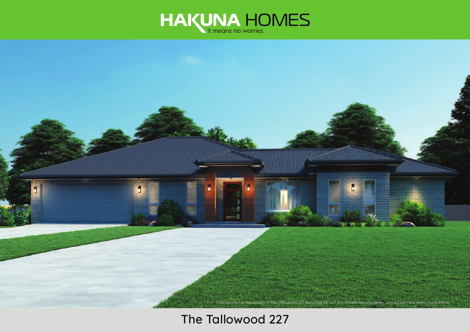



# **The Tallowood 227**